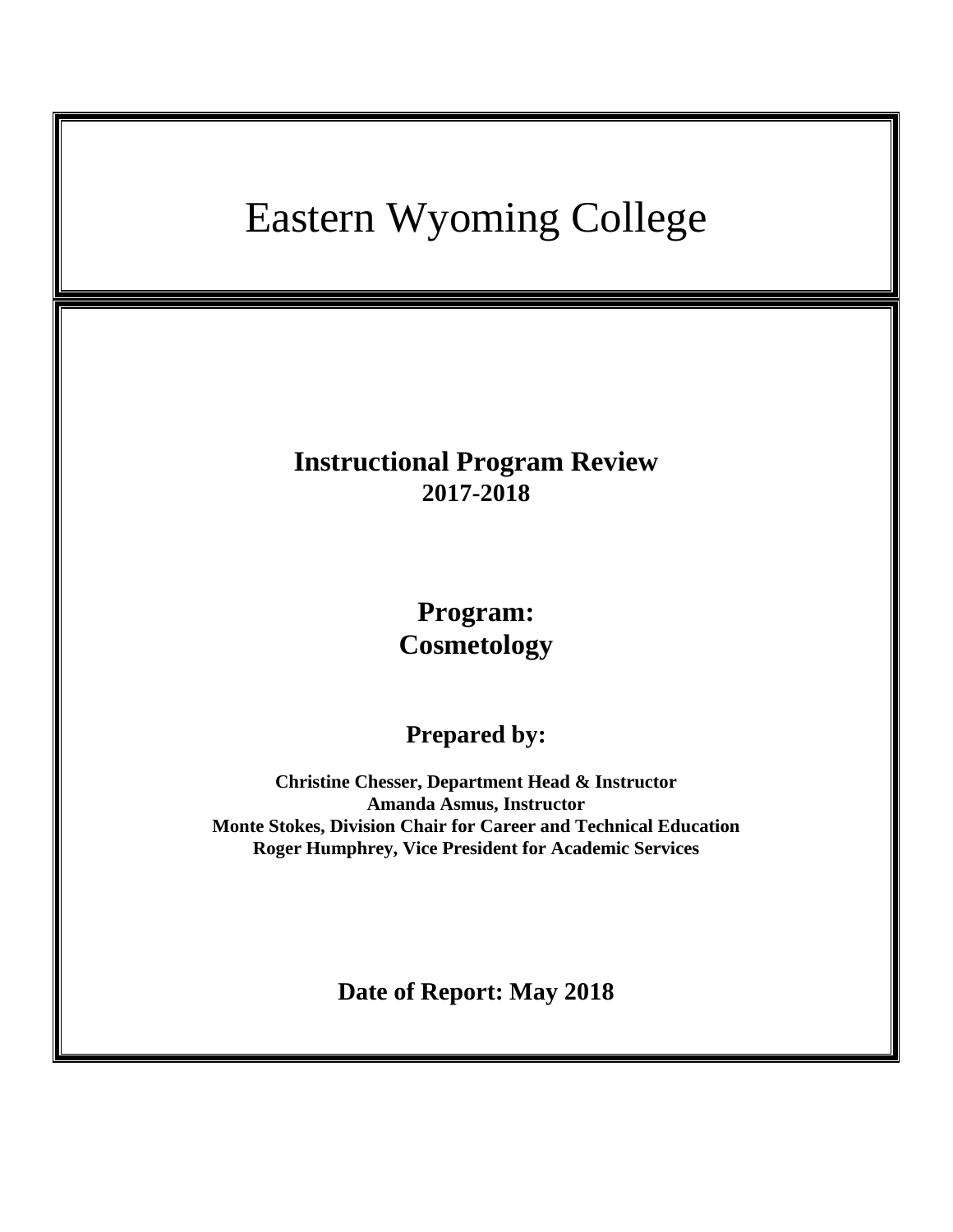# Eastern Wyoming College

# **Instructional Program Review 2017-2018**

# **Program: Cosmetology**

# **Prepared by:**

**Christine Chesser, Department Head & Instructor Amanda Asmus, Instructor Monte Stokes, Division Chair for Career and Technical Education Roger Humphrey, Vice President for Academic Services**

**Date of Report: May 2018**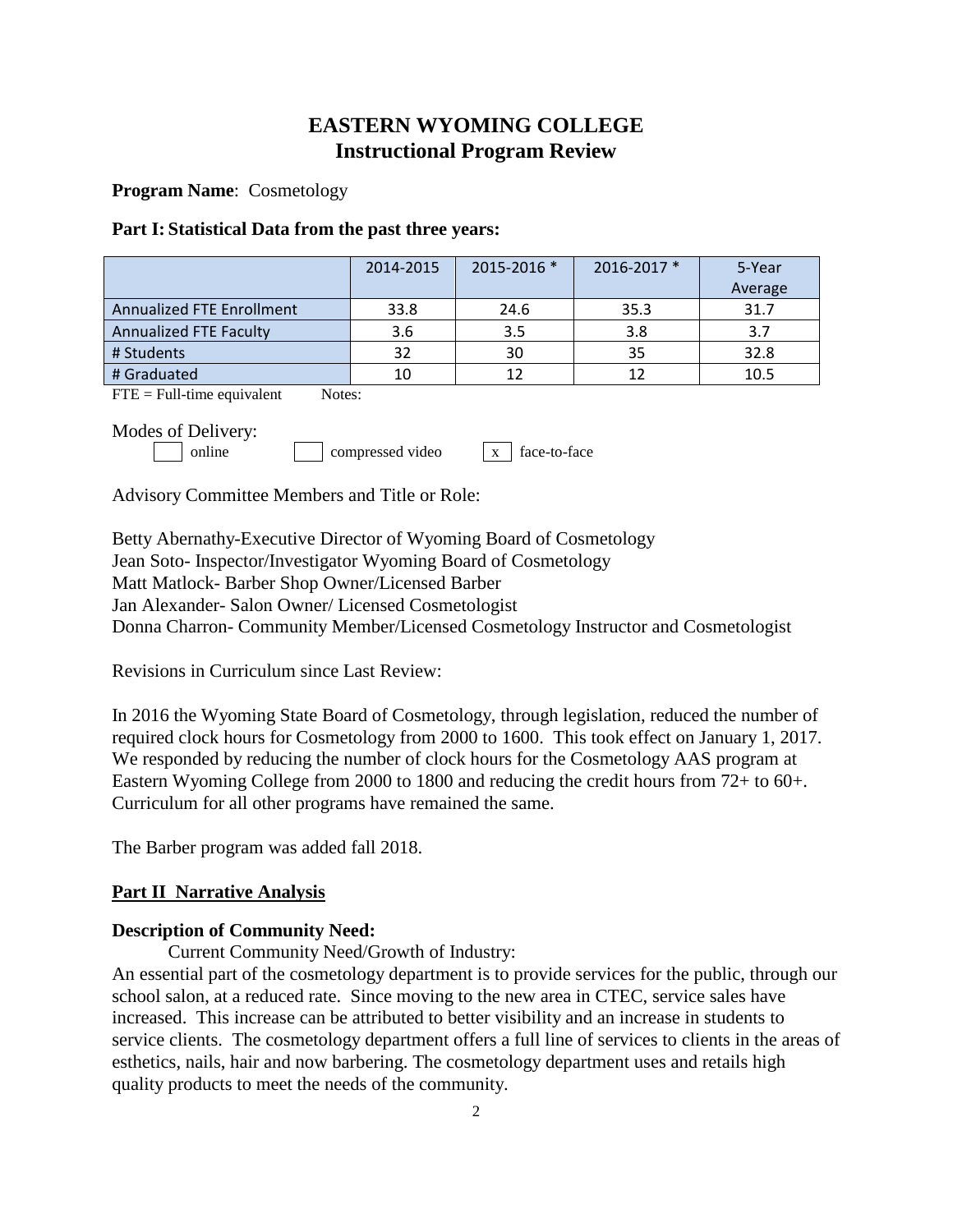# **EASTERN WYOMING COLLEGE Instructional Program Review**

**Program Name**: Cosmetology

#### **Part I: Statistical Data from the past three years:**

|                                  | 2014-2015 | 2015-2016 * | 2016-2017 * | 5-Year<br>Average |
|----------------------------------|-----------|-------------|-------------|-------------------|
| <b>Annualized FTE Enrollment</b> | 33.8      | 24.6        | 35.3        | 31.7              |
| <b>Annualized FTE Faculty</b>    | 3.6       | 3.5         | 3.8         | 3.7               |
| # Students                       | 32        | 30          | 35          | 32.8              |
| # Graduated                      | 10        |             |             | 10.5              |

 $\text{FTE} = \text{Full-time equivalent}$  Notes:

Modes of Delivery:

online compressed video x face-to-face

Advisory Committee Members and Title or Role:

Betty Abernathy-Executive Director of Wyoming Board of Cosmetology Jean Soto- Inspector/Investigator Wyoming Board of Cosmetology Matt Matlock- Barber Shop Owner/Licensed Barber Jan Alexander- Salon Owner/ Licensed Cosmetologist Donna Charron- Community Member/Licensed Cosmetology Instructor and Cosmetologist

Revisions in Curriculum since Last Review:

In 2016 the Wyoming State Board of Cosmetology, through legislation, reduced the number of required clock hours for Cosmetology from 2000 to 1600. This took effect on January 1, 2017. We responded by reducing the number of clock hours for the Cosmetology AAS program at Eastern Wyoming College from 2000 to 1800 and reducing the credit hours from 72+ to 60+. Curriculum for all other programs have remained the same.

The Barber program was added fall 2018.

# **Part II Narrative Analysis**

# **Description of Community Need:**

Current Community Need/Growth of Industry:

An essential part of the cosmetology department is to provide services for the public, through our school salon, at a reduced rate. Since moving to the new area in CTEC, service sales have increased. This increase can be attributed to better visibility and an increase in students to service clients. The cosmetology department offers a full line of services to clients in the areas of esthetics, nails, hair and now barbering. The cosmetology department uses and retails high quality products to meet the needs of the community.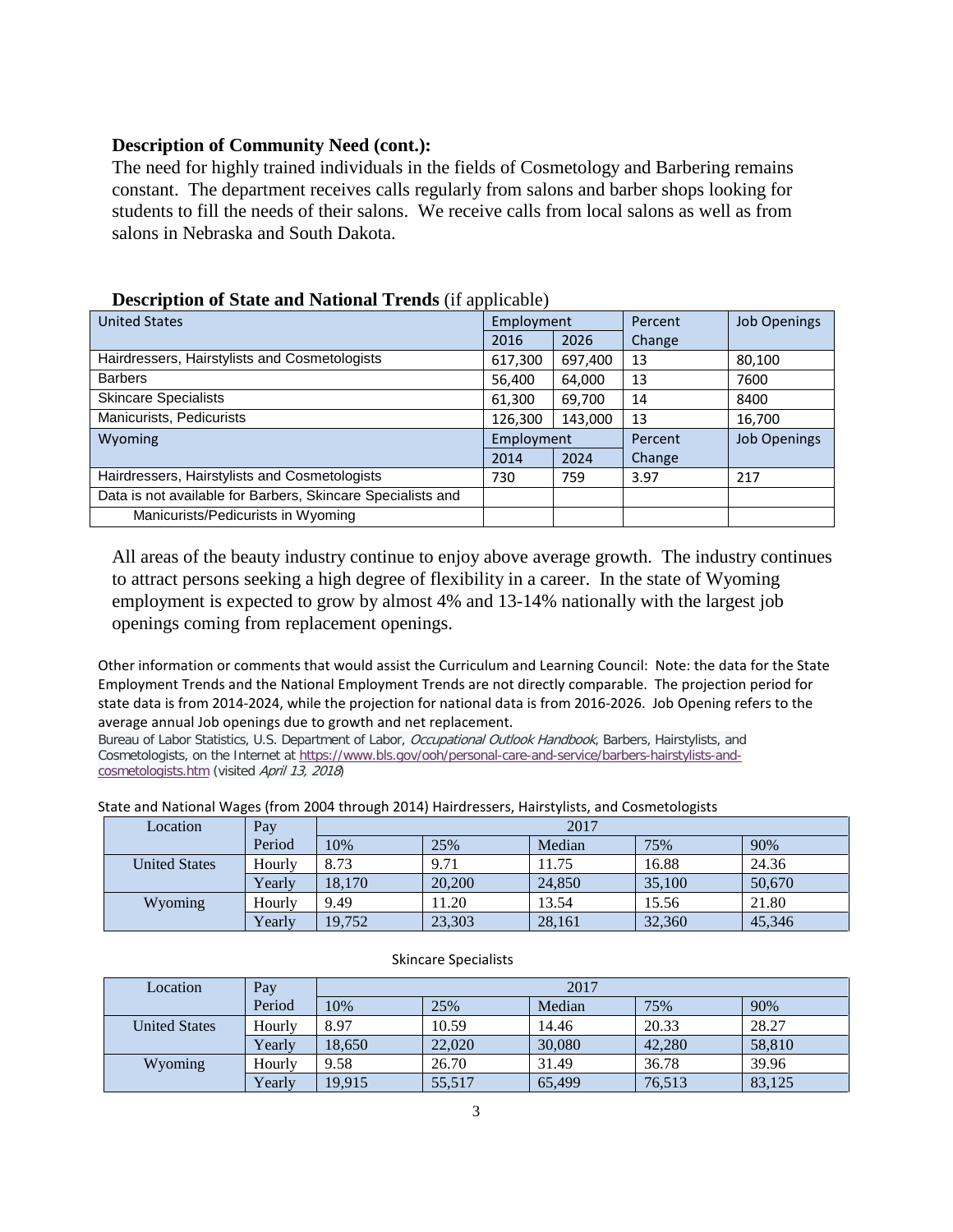## **Description of Community Need (cont.):**

The need for highly trained individuals in the fields of Cosmetology and Barbering remains constant. The department receives calls regularly from salons and barber shops looking for students to fill the needs of their salons. We receive calls from local salons as well as from salons in Nebraska and South Dakota.

| <b>United States</b>                                        | Employment |         | Percent | <b>Job Openings</b> |
|-------------------------------------------------------------|------------|---------|---------|---------------------|
|                                                             | 2016       | 2026    | Change  |                     |
| Hairdressers, Hairstylists and Cosmetologists               | 617,300    | 697,400 | 13      | 80,100              |
| <b>Barbers</b>                                              | 56,400     | 64,000  | 13      | 7600                |
| <b>Skincare Specialists</b>                                 | 61,300     | 69,700  | 14      | 8400                |
| Manicurists, Pedicurists                                    | 126,300    | 143,000 | 13      | 16,700              |
| Wyoming                                                     | Employment |         | Percent | <b>Job Openings</b> |
|                                                             | 2014       | 2024    | Change  |                     |
| Hairdressers, Hairstylists and Cosmetologists               | 730        | 759     | 3.97    | 217                 |
| Data is not available for Barbers, Skincare Specialists and |            |         |         |                     |
| Manicurists/Pedicurists in Wyoming                          |            |         |         |                     |

# **Description of State and National Trends** (if applicable)

All areas of the beauty industry continue to enjoy above average growth. The industry continues to attract persons seeking a high degree of flexibility in a career. In the state of Wyoming employment is expected to grow by almost 4% and 13-14% nationally with the largest job openings coming from replacement openings.

Other information or comments that would assist the Curriculum and Learning Council: Note: the data for the State Employment Trends and the National Employment Trends are not directly comparable. The projection period for state data is from 2014-2024, while the projection for national data is from 2016-2026. Job Opening refers to the average annual Job openings due to growth and net replacement.

Bureau of Labor Statistics, U.S. Department of Labor, Occupational Outlook Handbook, Barbers, Hairstylists, and Cosmetologists, on the Internet at [https://www.bls.gov/ooh/personal-care-and-service/barbers-hairstylists-and](https://www.bls.gov/ooh/personal-care-and-service/barbers-hairstylists-and-cosmetologists.htm)[cosmetologists.htm](https://www.bls.gov/ooh/personal-care-and-service/barbers-hairstylists-and-cosmetologists.htm) (visited April 13, 2018)

State and National Wages (from 2004 through 2014) Hairdressers, Hairstylists, and Cosmetologists

| Location             | Pay    | 2017   |        |        |        |        |
|----------------------|--------|--------|--------|--------|--------|--------|
|                      | Period | 10%    | 25%    | Median | 75%    | 90%    |
| <b>United States</b> | Hourly | 8.73   | 9.71   | 11.75  | 16.88  | 24.36  |
|                      | Yearly | 18.170 | 20,200 | 24,850 | 35,100 | 50.670 |
| Wyoming              | Hourly | 9.49   | 11.20  | 13.54  | 15.56  | 21.80  |
|                      | Yearly | 19,752 | 23,303 | 28,161 | 32,360 | 45,346 |

#### Skincare Specialists

| Location             | Pay    | 2017   |        |        |        |        |
|----------------------|--------|--------|--------|--------|--------|--------|
|                      | Period | 10%    | 25%    | Median | 75%    | 90%    |
| <b>United States</b> | Hourly | 8.97   | 10.59  | 14.46  | 20.33  | 28.27  |
|                      | Yearlv | 18.650 | 22,020 | 30,080 | 42,280 | 58,810 |
| Wyoming              | Hourly | 9.58   | 26.70  | 31.49  | 36.78  | 39.96  |
|                      | Yearly | 19.915 | 55,517 | 65,499 | 76,513 | 83,125 |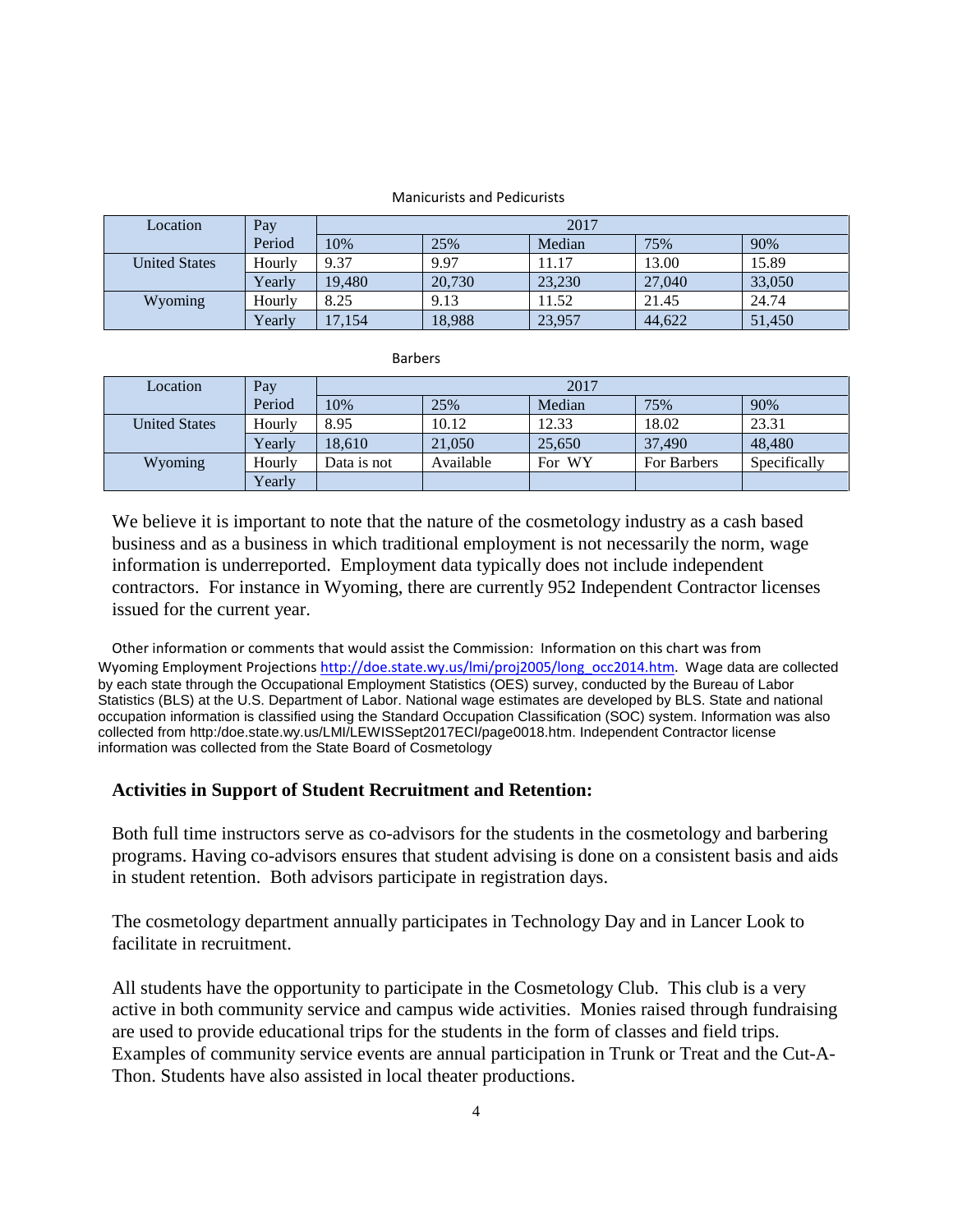#### Manicurists and Pedicurists

| Location             | Pay    | 2017   |        |        |        |        |
|----------------------|--------|--------|--------|--------|--------|--------|
|                      | Period | 10%    | 25%    | Median | 75%    | 90%    |
| <b>United States</b> | Hourly | 9.37   | 9.97   | 11.17  | 13.00  | 15.89  |
|                      | Yearly | 19.480 | 20,730 | 23,230 | 27,040 | 33,050 |
| Wyoming              | Hourly | 8.25   | 9.13   | 11.52  | 21.45  | 24.74  |
|                      | Yearly | 17,154 | 18,988 | 23,957 | 44,622 | 51,450 |

|                      |        | -----       |           |        |             |              |
|----------------------|--------|-------------|-----------|--------|-------------|--------------|
| Location             | Pay    | 2017        |           |        |             |              |
|                      | Period | 10%         | 25%       | Median | 75%         | 90%          |
| <b>United States</b> | Hourly | 8.95        | 10.12     | 12.33  | 18.02       | 23.31        |
|                      | Yearly | 18.610      | 21,050    | 25,650 | 37,490      | 48,480       |
| Wyoming              | Hourly | Data is not | Available | For WY | For Barbers | Specifically |
|                      | Yearly |             |           |        |             |              |

**Barhers** 

We believe it is important to note that the nature of the cosmetology industry as a cash based business and as a business in which traditional employment is not necessarily the norm, wage information is underreported. Employment data typically does not include independent contractors. For instance in Wyoming, there are currently 952 Independent Contractor licenses issued for the current year.

Other information or comments that would assist the Commission: Information on this chart was from Wyoming Employment Projections [http://doe.state.wy.us/lmi/proj2005/long\\_occ2014.htm.](http://doe.state.wy.us/lmi/proj2005/long_occ2014.htm) Wage data are collected by each state through the Occupational Employment Statistics (OES) survey, conducted by the Bureau of Labor Statistics (BLS) at the U.S. Department of Labor. National wage estimates are developed by BLS. State and national occupation information is classified using the Standard Occupation Classification (SOC) system. Information was also collected from http:/doe.state.wy.us/LMI/LEWISSept2017ECI/page0018.htm. Independent Contractor license information was collected from the State Board of Cosmetology

#### **Activities in Support of Student Recruitment and Retention:**

Both full time instructors serve as co-advisors for the students in the cosmetology and barbering programs. Having co-advisors ensures that student advising is done on a consistent basis and aids in student retention. Both advisors participate in registration days.

The cosmetology department annually participates in Technology Day and in Lancer Look to facilitate in recruitment.

All students have the opportunity to participate in the Cosmetology Club. This club is a very active in both community service and campus wide activities. Monies raised through fundraising are used to provide educational trips for the students in the form of classes and field trips. Examples of community service events are annual participation in Trunk or Treat and the Cut-A-Thon. Students have also assisted in local theater productions.

4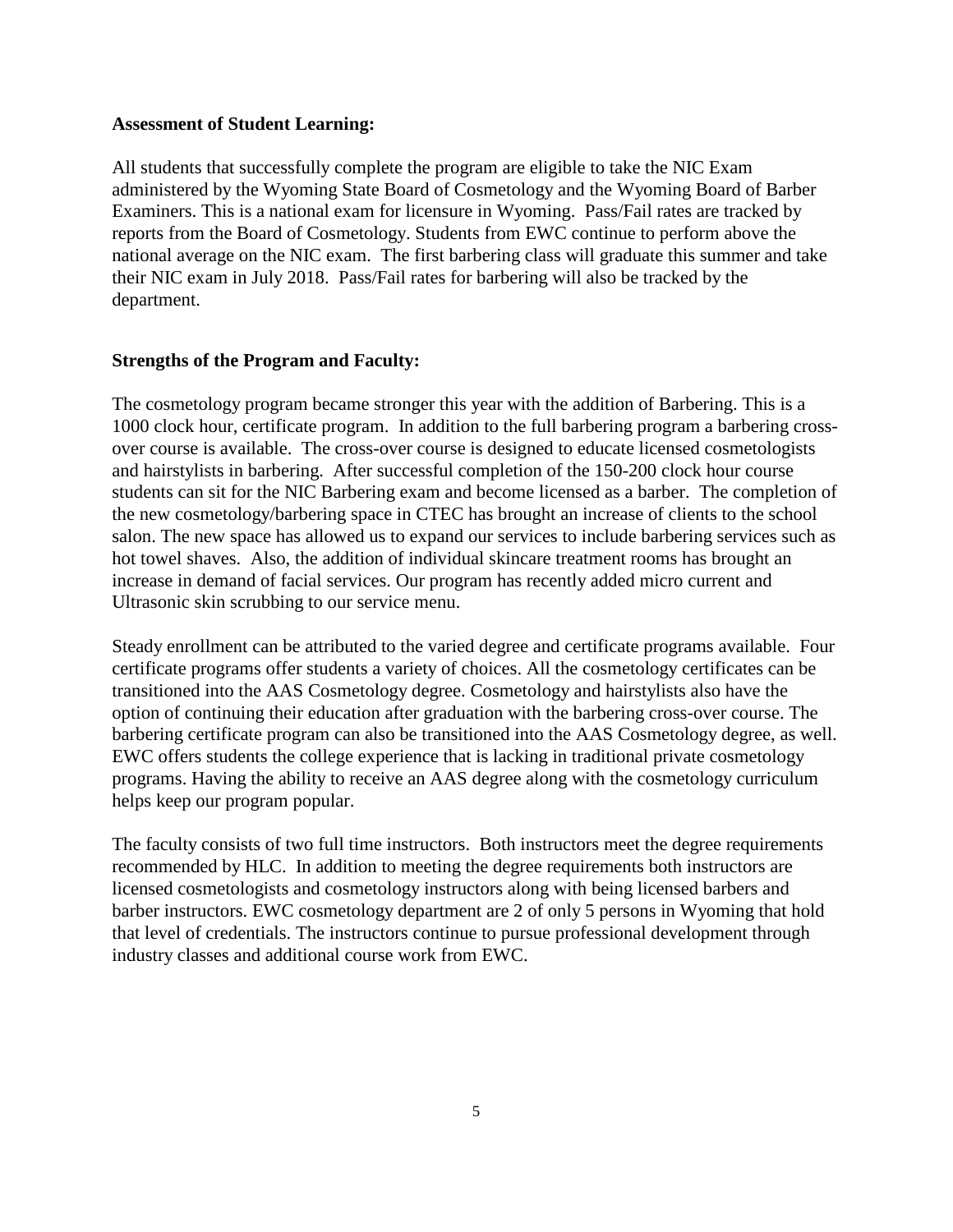## **Assessment of Student Learning:**

All students that successfully complete the program are eligible to take the NIC Exam administered by the Wyoming State Board of Cosmetology and the Wyoming Board of Barber Examiners. This is a national exam for licensure in Wyoming. Pass/Fail rates are tracked by reports from the Board of Cosmetology. Students from EWC continue to perform above the national average on the NIC exam. The first barbering class will graduate this summer and take their NIC exam in July 2018. Pass/Fail rates for barbering will also be tracked by the department.

## **Strengths of the Program and Faculty:**

The cosmetology program became stronger this year with the addition of Barbering. This is a 1000 clock hour, certificate program. In addition to the full barbering program a barbering crossover course is available. The cross-over course is designed to educate licensed cosmetologists and hairstylists in barbering. After successful completion of the 150-200 clock hour course students can sit for the NIC Barbering exam and become licensed as a barber. The completion of the new cosmetology/barbering space in CTEC has brought an increase of clients to the school salon. The new space has allowed us to expand our services to include barbering services such as hot towel shaves. Also, the addition of individual skincare treatment rooms has brought an increase in demand of facial services. Our program has recently added micro current and Ultrasonic skin scrubbing to our service menu.

Steady enrollment can be attributed to the varied degree and certificate programs available. Four certificate programs offer students a variety of choices. All the cosmetology certificates can be transitioned into the AAS Cosmetology degree. Cosmetology and hairstylists also have the option of continuing their education after graduation with the barbering cross-over course. The barbering certificate program can also be transitioned into the AAS Cosmetology degree, as well. EWC offers students the college experience that is lacking in traditional private cosmetology programs. Having the ability to receive an AAS degree along with the cosmetology curriculum helps keep our program popular.

The faculty consists of two full time instructors. Both instructors meet the degree requirements recommended by HLC. In addition to meeting the degree requirements both instructors are licensed cosmetologists and cosmetology instructors along with being licensed barbers and barber instructors. EWC cosmetology department are 2 of only 5 persons in Wyoming that hold that level of credentials. The instructors continue to pursue professional development through industry classes and additional course work from EWC.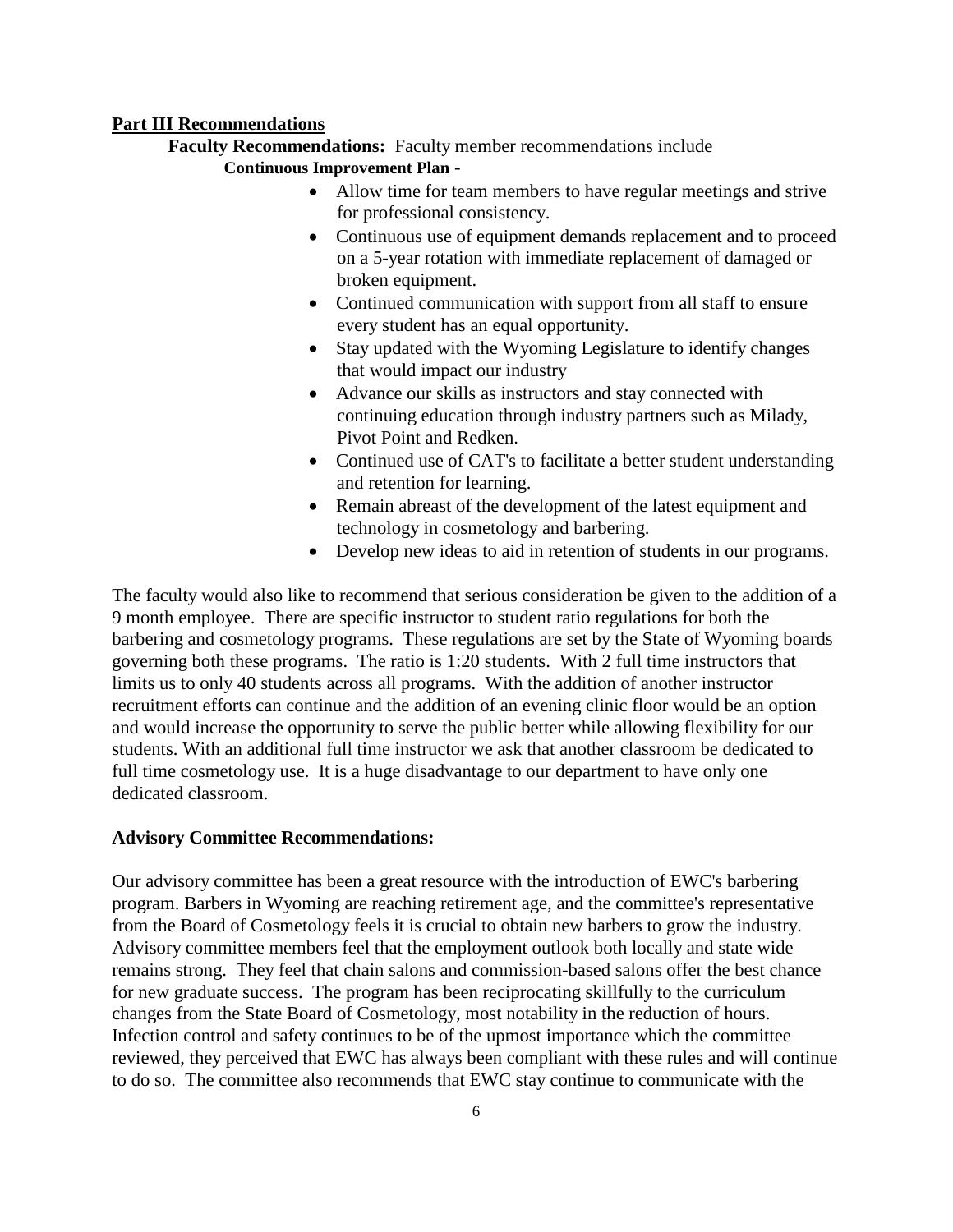## **Part III Recommendations**

**Faculty Recommendations:** Faculty member recommendations include **Continuous Improvement Plan** -

- Allow time for team members to have regular meetings and strive for professional consistency.
- Continuous use of equipment demands replacement and to proceed on a 5-year rotation with immediate replacement of damaged or broken equipment.
- Continued communication with support from all staff to ensure every student has an equal opportunity.
- Stay updated with the Wyoming Legislature to identify changes that would impact our industry
- Advance our skills as instructors and stay connected with continuing education through industry partners such as Milady, Pivot Point and Redken.
- Continued use of CAT's to facilitate a better student understanding and retention for learning.
- Remain abreast of the development of the latest equipment and technology in cosmetology and barbering.
- Develop new ideas to aid in retention of students in our programs.

The faculty would also like to recommend that serious consideration be given to the addition of a 9 month employee. There are specific instructor to student ratio regulations for both the barbering and cosmetology programs. These regulations are set by the State of Wyoming boards governing both these programs. The ratio is 1:20 students. With 2 full time instructors that limits us to only 40 students across all programs. With the addition of another instructor recruitment efforts can continue and the addition of an evening clinic floor would be an option and would increase the opportunity to serve the public better while allowing flexibility for our students. With an additional full time instructor we ask that another classroom be dedicated to full time cosmetology use. It is a huge disadvantage to our department to have only one dedicated classroom.

# **Advisory Committee Recommendations:**

Our advisory committee has been a great resource with the introduction of EWC's barbering program. Barbers in Wyoming are reaching retirement age, and the committee's representative from the Board of Cosmetology feels it is crucial to obtain new barbers to grow the industry. Advisory committee members feel that the employment outlook both locally and state wide remains strong. They feel that chain salons and commission-based salons offer the best chance for new graduate success. The program has been reciprocating skillfully to the curriculum changes from the State Board of Cosmetology, most notability in the reduction of hours. Infection control and safety continues to be of the upmost importance which the committee reviewed, they perceived that EWC has always been compliant with these rules and will continue to do so. The committee also recommends that EWC stay continue to communicate with the